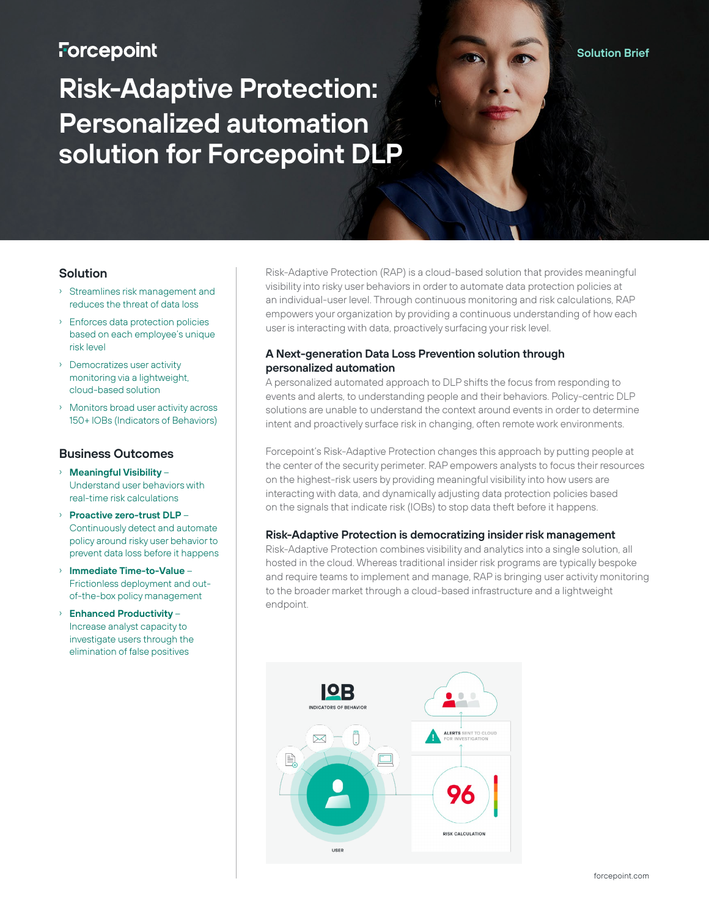## **Forcepoint**

# **Risk-Adaptive Protection: Personalized automation solution for Forcepoint DLP**

#### **Solution**

- › Streamlines risk management and reduces the threat of data loss
- › Enforces data protection policies based on each employee's unique risk level
- › Democratizes user activity monitoring via a lightweight, cloud-based solution
- › Monitors broad user activity across 150+ IOBs (Indicators of Behaviors)

#### **Business Outcomes**

- › **Meaningful Visibility** Understand user behaviors with real-time risk calculations
- › **Proactive zero-trust DLP** Continuously detect and automate policy around risky user behavior to prevent data loss before it happens
- › **Immediate Time-to-Value** Frictionless deployment and outof-the-box policy management
- › **Enhanced Productivity** Increase analyst capacity to investigate users through the elimination of false positives

Risk-Adaptive Protection (RAP) is a cloud-based solution that provides meaningful visibility into risky user behaviors in order to automate data protection policies at an individual-user level. Through continuous monitoring and risk calculations, RAP empowers your organization by providing a continuous understanding of how each user is interacting with data, proactively surfacing your risk level.

#### **A Next-generation Data Loss Prevention solution through personalized automation**

A personalized automated approach to DLP shifts the focus from responding to events and alerts, to understanding people and their behaviors. Policy-centric DLP solutions are unable to understand the context around events in order to determine intent and proactively surface risk in changing, often remote work environments.

Forcepoint's Risk-Adaptive Protection changes this approach by putting people at the center of the security perimeter. RAP empowers analysts to focus their resources on the highest-risk users by providing meaningful visibility into how users are interacting with data, and dynamically adjusting data protection policies based on the signals that indicate risk (IOBs) to stop data theft before it happens.

#### **Risk-Adaptive Protection is democratizing insider risk management**

Risk-Adaptive Protection combines visibility and analytics into a single solution, all hosted in the cloud. Whereas traditional insider risk programs are typically bespoke and require teams to implement and manage, RAP is bringing user activity monitoring to the broader market through a cloud-based infrastructure and a lightweight endpoint.



**Solution Brief**